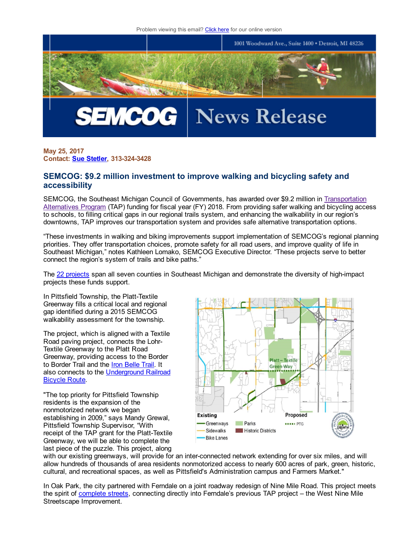

May 25, 2017 **Contact: Sue [Stetler,](mailto:stetler@semcog.org) 313-324-3428** 

## SEMCOG: \$9.2 million investment to improve walking and bicycling safety and accessibility

SEMCOG, the Southeast Michigan Council of Governments, has awarded over \$9.2 million in [Transportation](http://semcog.org/Plans-for-the-Region/Transportation/Transportation-Alternatives-Program-TAP) Alternatives Program (TAP) funding for fiscal year (FY) 2018. From providing safer walking and bicycling access to schools, to filling critical gaps in our regional trails system, and enhancing the walkability in our region's downtowns, TAP improves our transportation system and provides safe alternative transportation options.

"These investments in walking and biking improvements support implementation of SEMCOG's regional planning priorities. They offer transportation choices, promote safety for all road users, and improve quality of life in Southeast Michigan," notes Kathleen Lomako, SEMCOG Executive Director. "These projects serve to better connect the region's system of trails and bike paths."

The 22 [projects](http://smcg.informz.net/SMCG/data/images/News_Releases/TAP%20Award%20List%20FY2018.pdf) span all seven counties in Southeast Michigan and demonstrate the diversity of high-impact projects these funds support.

In Pittsfield Township, the Platt-Textile Greenway fills a critical local and regional gap identified during a 2015 SEMCOG walkability assessment for the township.

The project, which is aligned with a Textile Road paving project, connects the Lohr-Textile Greenway to the Platt Road Greenway, providing access to the Border to Border Trail and the **Iron [Belle](http://www.michigan.gov/dnr/0,4570,7-153-10365_16839_71459---,00.html) Trail**. It also connects to the [Underground](https://www.adventurecycling.org/routes-and-maps/adventure-cycling-route-network/underground-railroad-ugrr/) Railroad Bicycle Route.

"The top priority for Pittsfield Township residents is the expansion of the nonmotorized network we began establishing in 2009," says Mandy Grewal, Pittsfield Township Supervisor, "With receipt of the TAP grant for the Platt-Textile Greenway, we will be able to complete the last piece of the puzzle. This project, along



with our existing greenways, will provide for an inter-connected network extending for over six miles, and will allow hundreds of thousands of area residents nonmotorized access to nearly 600 acres of park, green, historic, cultural, and recreational spaces, as well as Pittsfield's Administration campus and Farmers Market."

In Oak Park, the city partnered with Ferndale on a joint roadway redesign of Nine Mile Road. This project meets the spirit of [complete](http://semcog.org/Complete-Streets) streets, connecting directly into Ferndale's previous TAP project – the West Nine Mile Streetscape Improvement.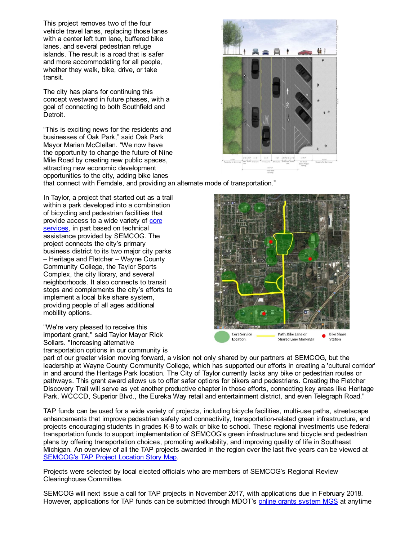This project removes two of the four vehicle travel lanes, replacing those lanes with a center left turn lane, buffered bike lanes, and several pedestrian refuge islands. The result is a road that is safer and more accommodating for all people, whether they walk, bike, drive, or take transit.

The city has plans for continuing this concept westward in future phases, with a goal of connecting to both Southfield and Detroit.

"This is exciting news for the residents and businesses of Oak Park," said Oak Park Mayor Marian McClellan. "We now have the opportunity to change the future of Nine Mile Road by creating new public spaces, attracting new economic development opportunities to the city, adding bike lanes that connect with Ferndale, and providing an alternate mode of transportation."

In Taylor, a project that started out as a trail within a park developed into a combination of bicycling and pedestrian facilities that provide access to a wide variety of core [services,](http://semcog.org/Access) in part based on technical assistance provided by SEMCOG. The project connects the city's primary business district to its two major city parks – Heritage and Fletcher – Wayne County Community College, the Taylor Sports Complex, the city library, and several neighborhoods. It also connects to transit stops and complements the city's efforts to implement a local bike share system, providing people of all ages additional mobility options.

"We're very pleased to receive this important grant," said Taylor Mayor Rick Sollars. "Increasing alternative transportation options in our community is





part of our greater vision moving forward, a vision not only shared by our partners at SEMCOG, but the leadership at Wayne County Community College, which has supported our efforts in creating a 'cultural corridor' in and around the Heritage Park location. The City of Taylor currently lacks any bike or pedestrian routes or pathways. This grant award allows us to offer safer options for bikers and pedestrians. Creating the Fletcher Discovery Trail will serve as yet another productive chapter in those efforts, connecting key areas like Heritage Park, WCCCD, Superior Blvd., the Eureka Way retail and entertainment district, and even Telegraph Road."

TAP funds can be used for a wide variety of projects, including bicycle facilities, multi-use paths, streetscape enhancements that improve pedestrian safety and connectivity, transportation-related green infrastructure, and projects encouraging students in grades K-8 to walk or bike to school. These regional investments use federal transportation funds to support implementation of SEMCOG's green infrastructure and bicycle and pedestrian plans by offering transportation choices, promoting walkability, and improving quality of life in Southeast Michigan. An overview of all the TAP projects awarded in the region over the last five years can be viewed at [SEMCOG's](http://maps.semcog.org/tap/) TAP Project Location Story Map.

Projects were selected by local elected officials who are members of SEMCOG's Regional Review Clearinghouse Committee.

SEMCOG will next issue a call for TAP projects in November 2017, with applications due in February 2018. However, applications for TAP funds can be submitted through MDOT's online grants [system](https://sso.state.mi.us/) MGS at anytime